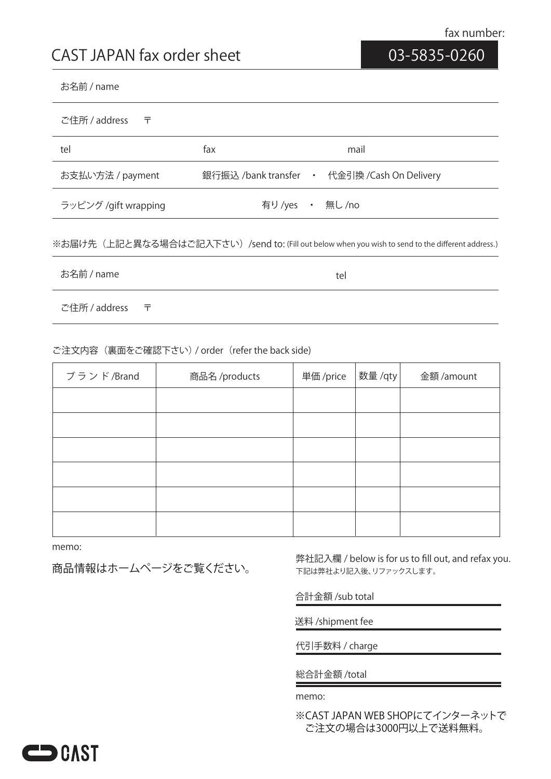# **03-5835-0260**

#### お名前 / name

| ご住所 / address<br>ᆍ   |                |                                              |
|----------------------|----------------|----------------------------------------------|
| tel                  | fax            | mail                                         |
| お支払い方法 / payment     |                | 銀行振込 /bank transfer • 代金引換 /Cash On Delivery |
| ラッピング /gift wrapping | 有り/yes · 無し/no |                                              |

## ※お届け先(上記と異なる場合はご記入下さい)/send to: (Fill out below when you wish to send to the different address.)

お名前 / name

tel

ご住所 / address 〒

## ご注文内容(裏面をご確認下さい) / order(refer the back side)

| ブランド/Brand | 商品名/products | 単価 /price | 数量 /qty | 金額 /amount |
|------------|--------------|-----------|---------|------------|
|            |              |           |         |            |
|            |              |           |         |            |
|            |              |           |         |            |
|            |              |           |         |            |
|            |              |           |         |            |
|            |              |           |         |            |

memo:

商品情報はホームページをご覧ください。

下記は弊社より記入後、リファックスします。 弊社記入欄 / below is for us to fill out, and refax you.

合計金額 /sub total

送料 /shipment fee

代引手数料 / charge

総合計金額 /total

memo:

※CAST JAPAN WEB SHOPにてインターネットで ご注文の場合は3000円以上で送料無料。